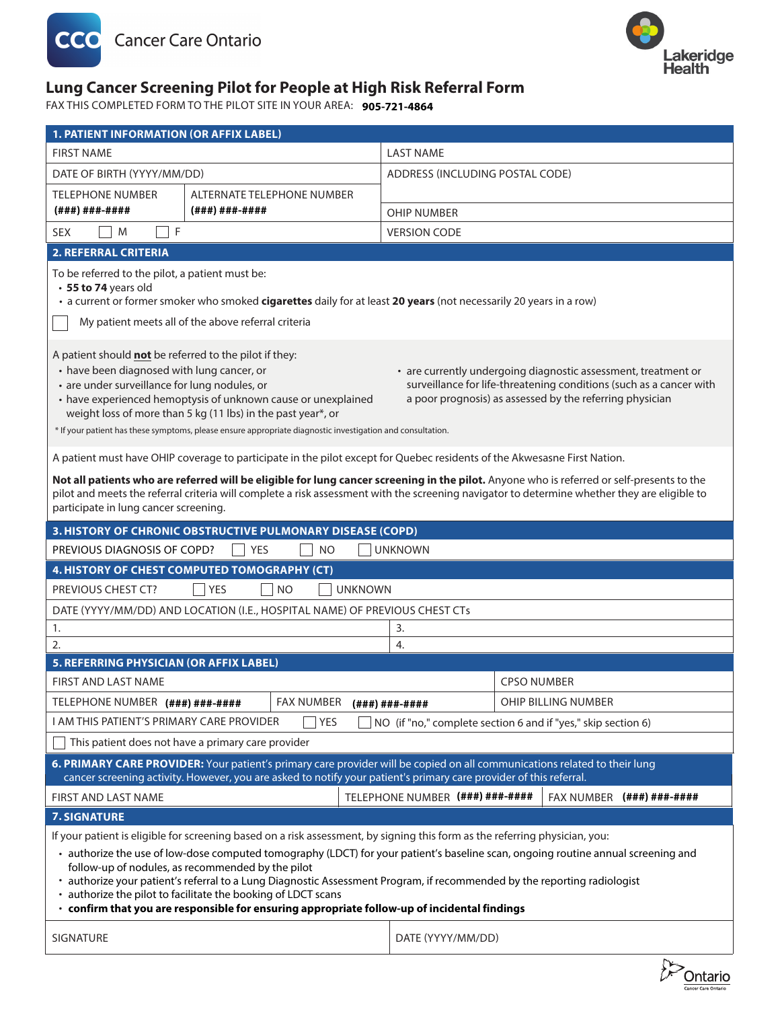



#### **Referral Form Lung Cancer Screening Pilot for People at High Risk Referral Form**

**FAM TO THE PILOT SITE IN YOUR AREA:**  $\,$  **905-721-4864**  $\,$ FAX THIS COMPLETED FORM TO THE PILOT SITE IN YOUR AREA: **905-721-4864**

| <b>1. PATIENT INFORMATION (OR AFFIX LABEL)</b>                                                                                                                                                                                                                                                                                                                                                                                                                                                                                                                                                            |                            |                                 |                                |
|-----------------------------------------------------------------------------------------------------------------------------------------------------------------------------------------------------------------------------------------------------------------------------------------------------------------------------------------------------------------------------------------------------------------------------------------------------------------------------------------------------------------------------------------------------------------------------------------------------------|----------------------------|---------------------------------|--------------------------------|
| <b>FIRST NAME</b>                                                                                                                                                                                                                                                                                                                                                                                                                                                                                                                                                                                         |                            | <b>LAST NAME</b>                |                                |
| DATE OF BIRTH (YYYY/MM/DD)                                                                                                                                                                                                                                                                                                                                                                                                                                                                                                                                                                                |                            | ADDRESS (INCLUDING POSTAL CODE) |                                |
| <b>TELEPHONE NUMBER</b>                                                                                                                                                                                                                                                                                                                                                                                                                                                                                                                                                                                   | ALTERNATE TELEPHONE NUMBER |                                 |                                |
| (###)###-####                                                                                                                                                                                                                                                                                                                                                                                                                                                                                                                                                                                             | (###)###-####              | <b>OHIP NUMBER</b>              |                                |
| F<br>M<br><b>SEX</b>                                                                                                                                                                                                                                                                                                                                                                                                                                                                                                                                                                                      |                            | <b>VERSION CODE</b>             |                                |
| <b>2. REFERRAL CRITERIA</b>                                                                                                                                                                                                                                                                                                                                                                                                                                                                                                                                                                               |                            |                                 |                                |
| To be referred to the pilot, a patient must be:<br>• 55 to 74 years old<br>• a current or former smoker who smoked cigarettes daily for at least 20 years (not necessarily 20 years in a row)<br>My patient meets all of the above referral criteria                                                                                                                                                                                                                                                                                                                                                      |                            |                                 |                                |
|                                                                                                                                                                                                                                                                                                                                                                                                                                                                                                                                                                                                           |                            |                                 |                                |
| A patient should not be referred to the pilot if they:<br>• have been diagnosed with lung cancer, or<br>• are currently undergoing diagnostic assessment, treatment or<br>• are under surveillance for lung nodules, or<br>surveillance for life-threatening conditions (such as a cancer with<br>a poor prognosis) as assessed by the referring physician<br>• have experienced hemoptysis of unknown cause or unexplained<br>weight loss of more than 5 kg (11 lbs) in the past year*, or<br>* If your patient has these symptoms, please ensure appropriate diagnostic investigation and consultation. |                            |                                 |                                |
| A patient must have OHIP coverage to participate in the pilot except for Quebec residents of the Akwesasne First Nation.                                                                                                                                                                                                                                                                                                                                                                                                                                                                                  |                            |                                 |                                |
| Not all patients who are referred will be eligible for lung cancer screening in the pilot. Anyone who is referred or self-presents to the<br>pilot and meets the referral criteria will complete a risk assessment with the screening navigator to determine whether they are eligible to<br>participate in lung cancer screening.                                                                                                                                                                                                                                                                        |                            |                                 |                                |
| 3. HISTORY OF CHRONIC OBSTRUCTIVE PULMONARY DISEASE (COPD)                                                                                                                                                                                                                                                                                                                                                                                                                                                                                                                                                |                            |                                 |                                |
| PREVIOUS DIAGNOSIS OF COPD?<br><b>YES</b><br>NO<br><b>UNKNOWN</b>                                                                                                                                                                                                                                                                                                                                                                                                                                                                                                                                         |                            |                                 |                                |
| 4. HISTORY OF CHEST COMPUTED TOMOGRAPHY (CT)                                                                                                                                                                                                                                                                                                                                                                                                                                                                                                                                                              |                            |                                 |                                |
| PREVIOUS CHEST CT?<br><b>NO</b><br><b>UNKNOWN</b><br><b>YES</b>                                                                                                                                                                                                                                                                                                                                                                                                                                                                                                                                           |                            |                                 |                                |
| DATE (YYYY/MM/DD) AND LOCATION (I.E., HOSPITAL NAME) OF PREVIOUS CHEST CTs                                                                                                                                                                                                                                                                                                                                                                                                                                                                                                                                |                            |                                 |                                |
| 3.<br>1.<br>2.<br>4.                                                                                                                                                                                                                                                                                                                                                                                                                                                                                                                                                                                      |                            |                                 |                                |
| <b>5. REFERRING PHYSICIAN (OR AFFIX LABEL)</b>                                                                                                                                                                                                                                                                                                                                                                                                                                                                                                                                                            |                            |                                 |                                |
| <b>FIRST AND LAST NAME</b>                                                                                                                                                                                                                                                                                                                                                                                                                                                                                                                                                                                |                            |                                 | <b>CPSO NUMBER</b>             |
| TELEPHONE NUMBER (###) ###-####                                                                                                                                                                                                                                                                                                                                                                                                                                                                                                                                                                           | <b>FAX NUMBER</b>          | (###)###-####                   | OHIP BILLING NUMBER            |
| I AM THIS PATIENT'S PRIMARY CARE PROVIDER<br>YES<br>NO (if "no," complete section 6 and if "yes," skip section 6)                                                                                                                                                                                                                                                                                                                                                                                                                                                                                         |                            |                                 |                                |
| This patient does not have a primary care provider                                                                                                                                                                                                                                                                                                                                                                                                                                                                                                                                                        |                            |                                 |                                |
| 6. PRIMARY CARE PROVIDER: Your patient's primary care provider will be copied on all communications related to their lung<br>cancer screening activity. However, you are asked to notify your patient's primary care provider of this referral.                                                                                                                                                                                                                                                                                                                                                           |                            |                                 |                                |
| FIRST AND LAST NAME                                                                                                                                                                                                                                                                                                                                                                                                                                                                                                                                                                                       |                            | TELEPHONE NUMBER (###) ###-#### | $FAX NUMBER$ $(###) # ##+####$ |
| <b>7. SIGNATURE</b>                                                                                                                                                                                                                                                                                                                                                                                                                                                                                                                                                                                       |                            |                                 |                                |
| If your patient is eligible for screening based on a risk assessment, by signing this form as the referring physician, you:                                                                                                                                                                                                                                                                                                                                                                                                                                                                               |                            |                                 |                                |
| · authorize the use of low-dose computed tomography (LDCT) for your patient's baseline scan, ongoing routine annual screening and<br>follow-up of nodules, as recommended by the pilot<br>• authorize your patient's referral to a Lung Diagnostic Assessment Program, if recommended by the reporting radiologist<br>• authorize the pilot to facilitate the booking of LDCT scans<br>· confirm that you are responsible for ensuring appropriate follow-up of incidental findings                                                                                                                       |                            |                                 |                                |
| SIGNATURE                                                                                                                                                                                                                                                                                                                                                                                                                                                                                                                                                                                                 |                            | DATE (YYYY/MM/DD)               | r.                             |

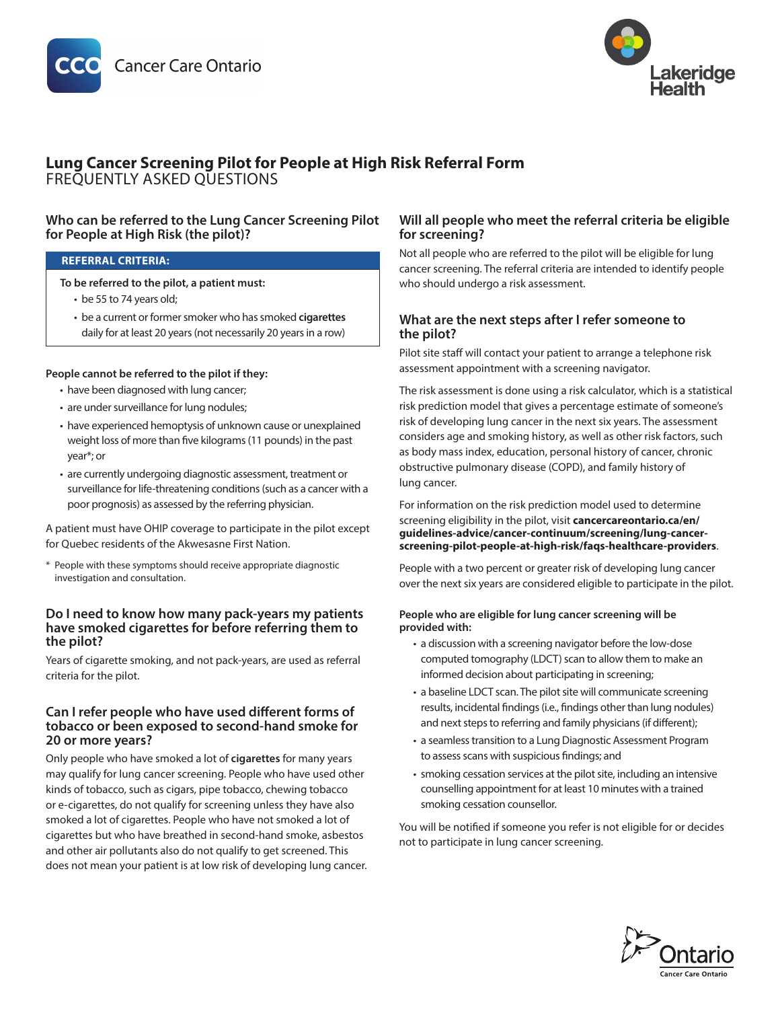



# **Lung Cancer Screening Pilot for People at High Risk Referral Form**  FREQUENTLY ASKED QUESTIONS

# **Who can be referred to the Lung Cancer Screening Pilot for People at High Risk (the pilot)?**

#### **REFERRAL CRITERIA:**

**To be referred to the pilot, a patient must:**

- be 55 to 74 years old;
- be a current or former smoker who has smoked **cigarettes** daily for at least 20 years (not necessarily 20 years in a row)

#### **People cannot be referred to the pilot if they:**

- have been diagnosed with lung cancer;
- are under surveillance for lung nodules;
- have experienced hemoptysis of unknown cause or unexplained weight loss of more than five kilograms (11 pounds) in the past year\*; or
- are currently undergoing diagnostic assessment, treatment or surveillance for life-threatening conditions (such as a cancer with a poor prognosis) as assessed by the referring physician.

A patient must have OHIP coverage to participate in the pilot except for Quebec residents of the Akwesasne First Nation.

\* People with these symptoms should receive appropriate diagnostic investigation and consultation.

### **Do I need to know how many pack-years my patients have smoked cigarettes for before referring them to the pilot?**

Years of cigarette smoking, and not pack-years, are used as referral criteria for the pilot.

### **Can I refer people who have used different forms of tobacco or been exposed to second-hand smoke for 20 or more years?**

Only people who have smoked a lot of **cigarettes** for many years may qualify for lung cancer screening. People who have used other kinds of tobacco, such as cigars, pipe tobacco, chewing tobacco or e-cigarettes, do not qualify for screening unless they have also smoked a lot of cigarettes. People who have not smoked a lot of cigarettes but who have breathed in second-hand smoke, asbestos and other air pollutants also do not qualify to get screened. This does not mean your patient is at low risk of developing lung cancer.

# **Will all people who meet the referral criteria be eligible for screening?**

Not all people who are referred to the pilot will be eligible for lung cancer screening. The referral criteria are intended to identify people who should undergo a risk assessment.

# **What are the next steps after I refer someone to the pilot?**

Pilot site staff will contact your patient to arrange a telephone risk assessment appointment with a screening navigator.

The risk assessment is done using a risk calculator, which is a statistical risk prediction model that gives a percentage estimate of someone's risk of developing lung cancer in the next six years. The assessment considers age and smoking history, as well as other risk factors, such as body mass index, education, personal history of cancer, chronic obstructive pulmonary disease (COPD), and family history of lung cancer.

For information on the risk prediction model used to determine screening eligibility in the pilot, visit **[cancercareontario.ca/en/](https://www.cancercareontario.ca/en/guidelines-advice/cancer-continuum/screening/lung-cancer-screening-pilot-people-at-high-risk/faqs-healthcare-providers) [guidelines-advice/cancer-continuum/screening/lung-cancer](https://www.cancercareontario.ca/en/guidelines-advice/cancer-continuum/screening/lung-cancer-screening-pilot-people-at-high-risk/faqs-healthcare-providers)[screening-pilot-people-at-high-risk/faqs-healthcare-providers](https://www.cancercareontario.ca/en/guidelines-advice/cancer-continuum/screening/lung-cancer-screening-pilot-people-at-high-risk/faqs-healthcare-providers)**.

People with a two percent or greater risk of developing lung cancer over the next six years are considered eligible to participate in the pilot.

#### **People who are eligible for lung cancer screening will be provided with:**

- a discussion with a screening navigator before the low-dose computed tomography (LDCT) scan to allow them to make an informed decision about participating in screening;
- a baseline LDCT scan. The pilot site will communicate screening results, incidental findings (i.e., findings other than lung nodules) and next steps to referring and family physicians (if different);
- a seamless transition to a Lung Diagnostic Assessment Program to assess scans with suspicious findings; and
- smoking cessation services at the pilot site, including an intensive counselling appointment for at least 10 minutes with a trained smoking cessation counsellor.

You will be notified if someone you refer is not eligible for or decides not to participate in lung cancer screening.